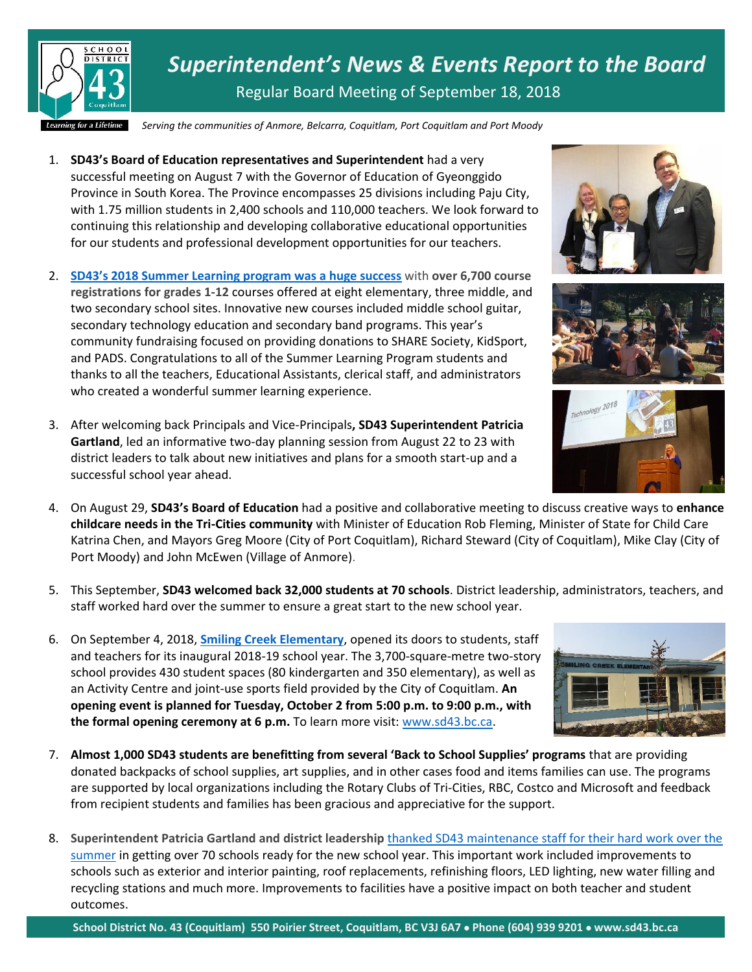

*Superintendent's News & Events Report to the Board* Regular Board Meeting of September 18, 2018

*Serving the communities of Anmore, Belcarra, Coquitlam, Port Coquitlam and Port Moody*

- 1. **SD43's Board of Education representatives and Superintendent** had a very successful meeting on August 7 with the Governor of Education of Gyeonggido Province in South Korea. The Province encompasses 25 divisions including Paju City, with 1.75 million students in 2,400 schools and 110,000 teachers. We look forward to continuing this relationship and developing collaborative educational opportunities for our students and professional development opportunities for our teachers.
- 2. **[SD43's 2018 Summer Learning program](http://www.sd43.bc.ca/Pages/newsitem.aspx?ItemID=178&ListID=c4134e88-bc0d-484f-9d4d-93c69db7f94f&TemplateID=Announcement_Item) was a huge success** with **over 6,700 course registrations for grades 1-12** courses offered at eight elementary, three middle, and two secondary school sites. Innovative new courses included middle school guitar, secondary technology education and secondary band programs. This year's community fundraising focused on providing donations to SHARE Society, KidSport, and PADS. Congratulations to all of the Summer Learning Program students and thanks to all the teachers, Educational Assistants, clerical staff, and administrators who created a wonderful summer learning experience.
- 3. After welcoming back Principals and Vice-Principals**, SD43 Superintendent Patricia Gartland**, led an informative two-day planning session from August 22 to 23 with district leaders to talk about new initiatives and plans for a smooth start-up and a successful school year ahead.
- 4. On August 29, **SD43's Board of Education** had a positive and collaborative meeting to discuss creative ways to **enhance childcare needs in the Tri-Cities community** with Minister of Education Rob Fleming, Minister of State for Child Care Katrina Chen, and Mayors Greg Moore (City of Port Coquitlam), Richard Steward (City of Coquitlam), Mike Clay (City of Port Moody) and John McEwen (Village of Anmore).
- 5. This September, **SD43 welcomed back 32,000 students at 70 schools**. District leadership, administrators, teachers, and staff worked hard over the summer to ensure a great start to the new school year.
- 6. On September 4, 2018, **[Smiling Creek Elementary](https://www.sd43.bc.ca/school/smilingcreek/Pages/default.aspx)**, opened its doors to students, staff and teachers for its inaugural 2018-19 school year. The 3,700-square-metre two-story school provides 430 student spaces (80 kindergarten and 350 elementary), as well as an Activity Centre and joint-use sports field provided by the City of Coquitlam. **An opening event is planned for Tuesday, October 2 from 5:00 p.m. to 9:00 p.m., with the formal opening ceremony at 6 p.m.** To learn more visit[: www.sd43.bc.ca.](http://www.sd43.bc.ca/)
- 7. **Almost 1,000 SD43 students are benefitting from several 'Back to School Supplies' programs** that are providing donated backpacks of school supplies, art supplies, and in other cases food and items families can use. The programs are supported by local organizations including the Rotary Clubs of Tri-Cities, RBC, Costco and Microsoft and feedback from recipient students and families has been gracious and appreciative for the support.
- 8. **Superintendent Patricia Gartland and district leadership** [thanked SD43 maintenance staff for their hard work over the](http://www.sd43.bc.ca/Pages/newsitem.aspx?ItemID=179&ListID=c4134e88-bc0d-484f-9d4d-93c69db7f94f&TemplateID=Announcement_Item)  [summer](http://www.sd43.bc.ca/Pages/newsitem.aspx?ItemID=179&ListID=c4134e88-bc0d-484f-9d4d-93c69db7f94f&TemplateID=Announcement_Item) in getting over 70 schools ready for the new school year. This important work included improvements to schools such as exterior and interior painting, roof replacements, refinishing floors, LED lighting, new water filling and recycling stations and much more. Improvements to facilities have a positive impact on both teacher and student outcomes.